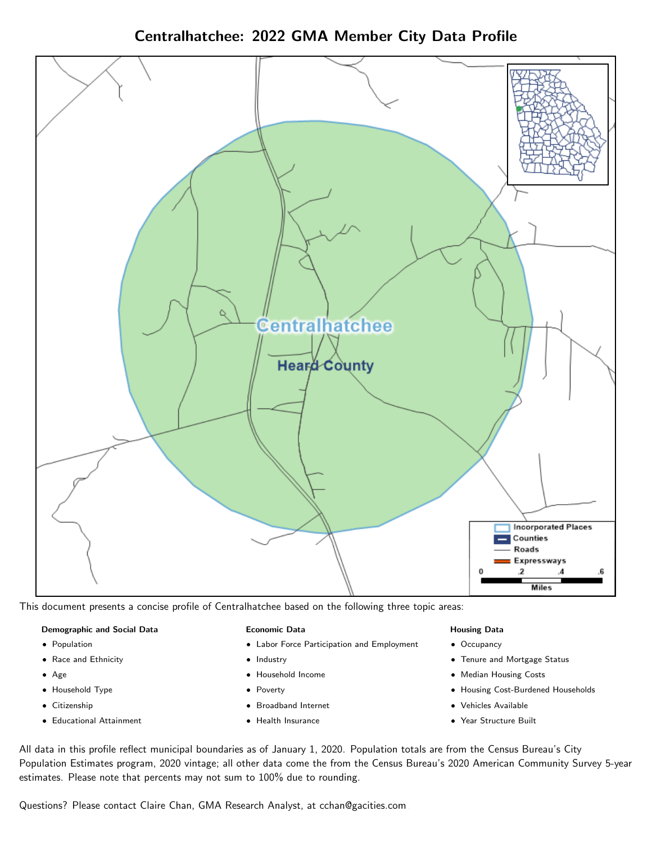



This document presents a concise profile of Centralhatchee based on the following three topic areas:

#### Demographic and Social Data

- **•** Population
- Race and Ethnicity
- Age
- Household Type
- **Citizenship**
- Educational Attainment

#### Economic Data

- Labor Force Participation and Employment
- Industry
- Household Income
- Poverty
- Broadband Internet
- Health Insurance

#### Housing Data

- Occupancy
- Tenure and Mortgage Status
- Median Housing Costs
- Housing Cost-Burdened Households
- Vehicles Available
- Year Structure Built

All data in this profile reflect municipal boundaries as of January 1, 2020. Population totals are from the Census Bureau's City Population Estimates program, 2020 vintage; all other data come the from the Census Bureau's 2020 American Community Survey 5-year estimates. Please note that percents may not sum to 100% due to rounding.

Questions? Please contact Claire Chan, GMA Research Analyst, at [cchan@gacities.com.](mailto:cchan@gacities.com)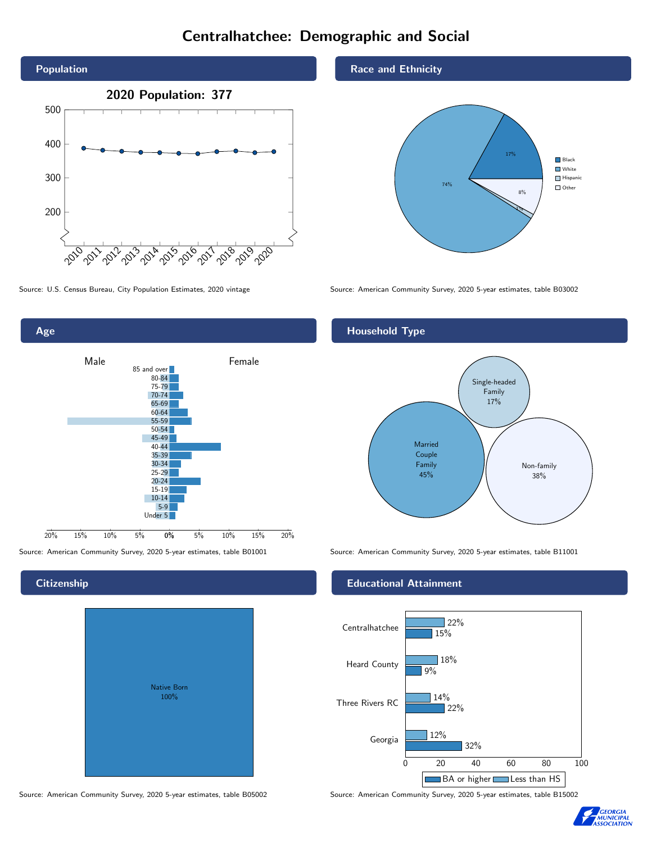# Centralhatchee: Demographic and Social





# **Citizenship**

| Native Born<br>100% |  |
|---------------------|--|

Race and Ethnicity



Source: U.S. Census Bureau, City Population Estimates, 2020 vintage Source: American Community Survey, 2020 5-year estimates, table B03002

#### Household Type



Source: American Community Survey, 2020 5-year estimates, table B01001 Source: American Community Survey, 2020 5-year estimates, table B11001

#### Educational Attainment



Source: American Community Survey, 2020 5-year estimates, table B05002 Source: American Community Survey, 2020 5-year estimates, table B15002

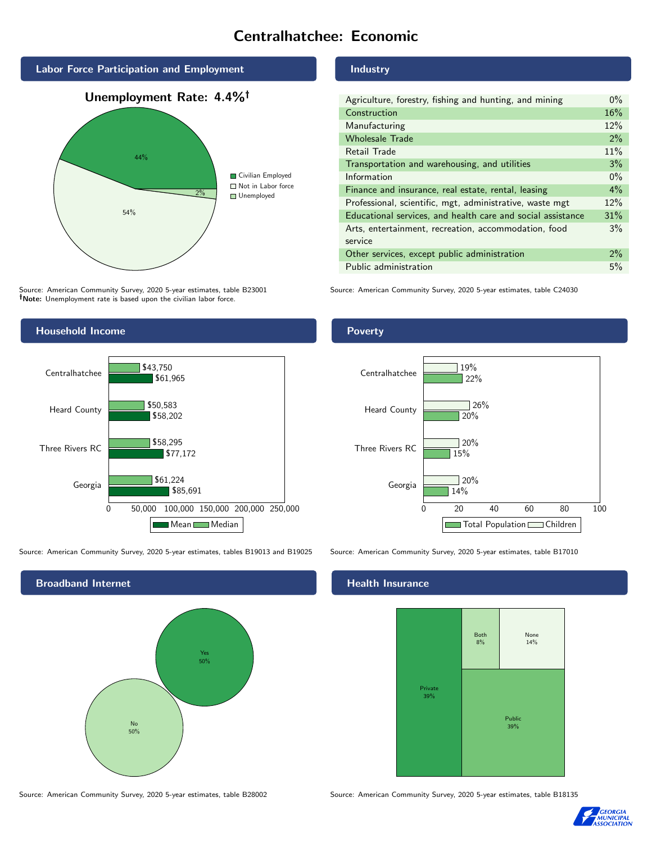# Centralhatchee: Economic



Source: American Community Survey, 2020 5-year estimates, table B23001 Note: Unemployment rate is based upon the civilian labor force.

#### Industry

| Agriculture, forestry, fishing and hunting, and mining      | $0\%$ |
|-------------------------------------------------------------|-------|
| Construction                                                |       |
| Manufacturing                                               | 12%   |
| <b>Wholesale Trade</b>                                      | 2%    |
| Retail Trade                                                | 11%   |
| Transportation and warehousing, and utilities               |       |
| Information                                                 |       |
| Finance and insurance, real estate, rental, leasing         |       |
| Professional, scientific, mgt, administrative, waste mgt    |       |
| Educational services, and health care and social assistance |       |
| Arts, entertainment, recreation, accommodation, food        |       |
| service                                                     |       |
| Other services, except public administration                |       |
| Public administration                                       |       |

Source: American Community Survey, 2020 5-year estimates, table C24030



Source: American Community Survey, 2020 5-year estimates, tables B19013 and B19025 Source: American Community Survey, 2020 5-year estimates, table B17010



Poverty



#### Health Insurance



Source: American Community Survey, 2020 5-year estimates, table B28002 Source: American Community Survey, 2020 5-year estimates, table B18135